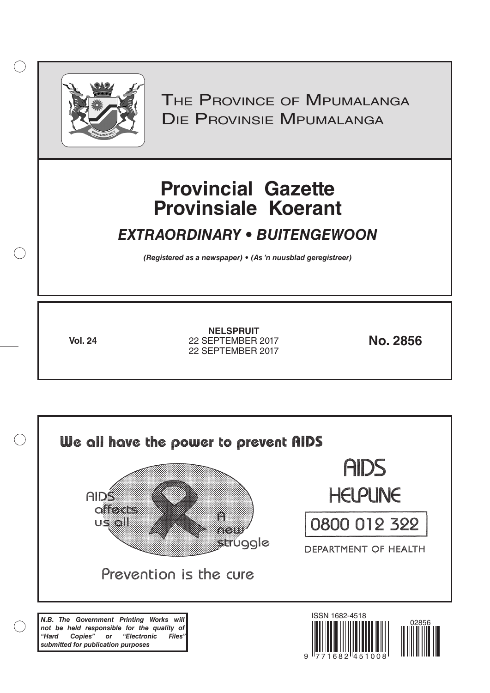

 $( )$ 

THE PROVINCE OF MPUMALANGA Die Provinsie Mpumalanga

# **Provincial Gazette Provinsiale Koerant**

## *EXTRAORDINARY • BUITENGEWOON*

*(Registered as a newspaper) • (As 'n nuusblad geregistreer)*

**Vol. 24 No. 2856** 22 SEPTEMBER 2017 **NELSPRUIT** 22 SEPTEMBER 2017

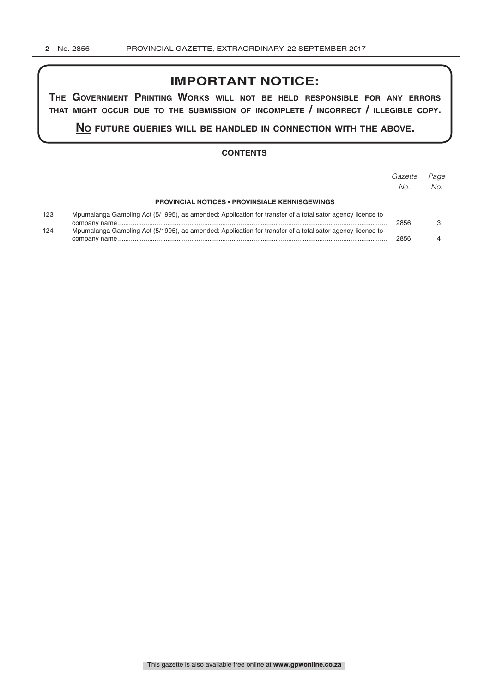## **IMPORTANT NOTICE:**

**The GovernmenT PrinTinG Works Will noT be held resPonsible for any errors ThaT miGhT occur due To The submission of incomPleTe / incorrecT / illeGible coPy.**

**no fuTure queries Will be handled in connecTion WiTh The above.**

#### **CONTENTS**

|     |                                                                                                           | Gazette<br>No. | Page<br>No. |
|-----|-----------------------------------------------------------------------------------------------------------|----------------|-------------|
|     | <b>PROVINCIAL NOTICES • PROVINSIALE KENNISGEWINGS</b>                                                     |                |             |
| 123 | Mpumalanga Gambling Act (5/1995), as amended: Application for transfer of a totalisator agency licence to | 2856           |             |
| 124 | Mpumalanga Gambling Act (5/1995), as amended: Application for transfer of a totalisator agency licence to | 2856           |             |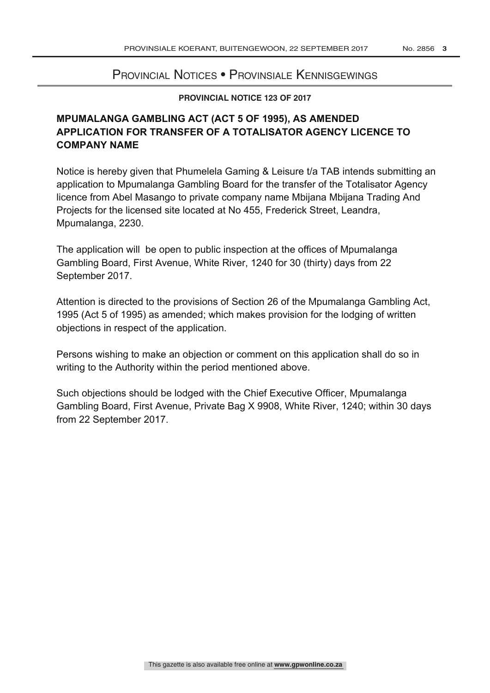### Provincial Notices • Provinsiale Kennisgewings

#### **PROVINCIAL NOTICE 123 OF 2017**

## **MPUMALANGA GAMBLING ACT (ACT 5 OF 1995), AS AMENDED APPLICATION FOR TRANSFER OF A TOTALISATOR AGENCY LICENCE TO COMPANY NAME**

Notice is hereby given that Phumelela Gaming & Leisure t/a TAB intends submitting an application to Mpumalanga Gambling Board for the transfer of the Totalisator Agency licence from Abel Masango to private company name Mbijana Mbijana Trading And Projects for the licensed site located at No 455, Frederick Street, Leandra, Mpumalanga, 2230.

The application will be open to public inspection at the offices of Mpumalanga Gambling Board, First Avenue, White River, 1240 for 30 (thirty) days from 22 September 2017.

Attention is directed to the provisions of Section 26 of the Mpumalanga Gambling Act, 1995 (Act 5 of 1995) as amended; which makes provision for the lodging of written objections in respect of the application.

Persons wishing to make an objection or comment on this application shall do so in writing to the Authority within the period mentioned above.

Such objections should be lodged with the Chief Executive Officer, Mpumalanga Gambling Board, First Avenue, Private Bag X 9908, White River, 1240; within 30 days from 22 September 2017.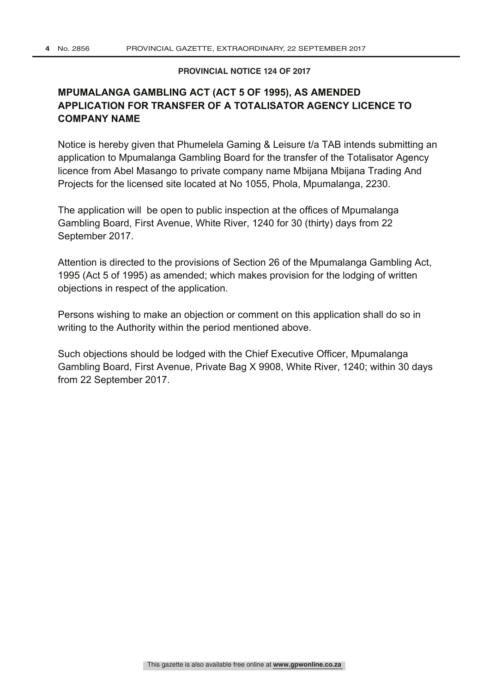#### **PROVINCIAL NOTICE 124 OF 2017**

#### **MPUMALANGA GAMBLING ACT (ACT 5 OF 1995), AS AMENDED APPLICATION FOR TRANSFER OF A TOTALISATOR AGENCY LICENCE TO COMPANY NAME**

Notice is hereby given that Phumelela Gaming & Leisure t/a TAB intends submitting an application to Mpumalanga Gambling Board for the transfer of the Totalisator Agency licence from Abel Masango to private company name Mbijana Mbijana Trading And Projects for the licensed site located at No 1055, Phola, Mpumalanga, 2230.

The application will be open to public inspection at the offices of Mpumalanga Gambling Board, First Avenue, White River, 1240 for 30 (thirty) days from 22 September 2017.

Attention is directed to the provisions of Section 26 of the Mpumalanga Gambling Act, 1995 (Act 5 of 1995) as amended; which makes provision for the lodging of written objections in respect of the application.

Persons wishing to make an objection or comment on this application shall do so in writing to the Authority within the period mentioned above.

Such objections should be lodged with the Chief Executive Officer, Mpumalanga Gambling Board, First Avenue, Private Bag X 9908, White River, 1240; within 30 days from 22 September 2017.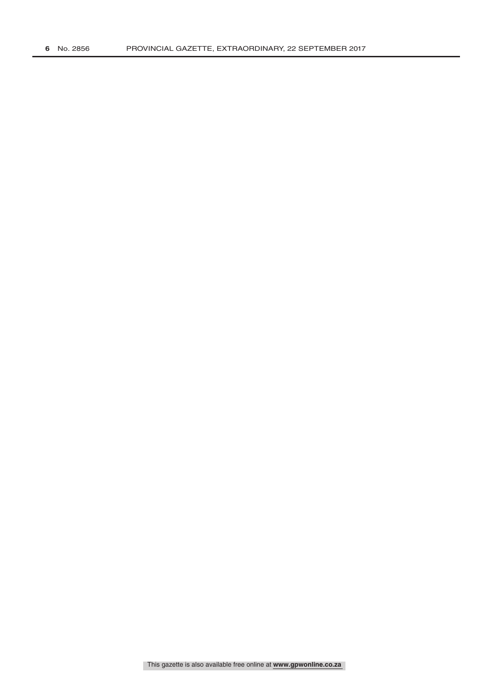This gazette is also available free online at **www.gpwonline.co.za**